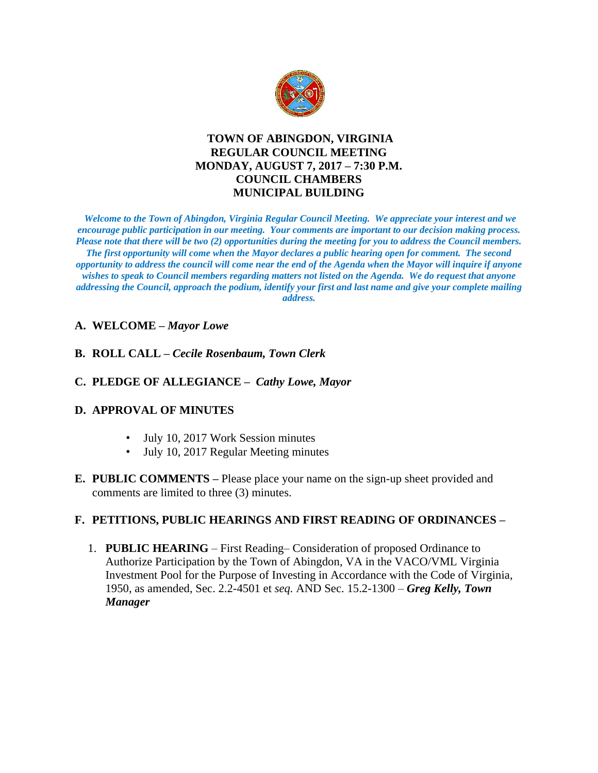

# **TOWN OF ABINGDON, VIRGINIA REGULAR COUNCIL MEETING MONDAY, AUGUST 7, 2017 – 7:30 P.M. COUNCIL CHAMBERS MUNICIPAL BUILDING**

*Welcome to the Town of Abingdon, Virginia Regular Council Meeting. We appreciate your interest and we encourage public participation in our meeting. Your comments are important to our decision making process. Please note that there will be two (2) opportunities during the meeting for you to address the Council members. The first opportunity will come when the Mayor declares a public hearing open for comment. The second opportunity to address the council will come near the end of the Agenda when the Mayor will inquire if anyone wishes to speak to Council members regarding matters not listed on the Agenda. We do request that anyone addressing the Council, approach the podium, identify your first and last name and give your complete mailing address.* 

## **A. WELCOME –** *Mayor Lowe*

- **B. ROLL CALL –** *Cecile Rosenbaum, Town Clerk*
- **C. PLEDGE OF ALLEGIANCE** *Cathy Lowe, Mayor*

#### **D. APPROVAL OF MINUTES**

- July 10, 2017 Work Session minutes
- July 10, 2017 Regular Meeting minutes
- **E. PUBLIC COMMENTS –** Please place your name on the sign-up sheet provided and comments are limited to three (3) minutes.

#### **F. PETITIONS, PUBLIC HEARINGS AND FIRST READING OF ORDINANCES –**

1. **PUBLIC HEARING** – First Reading– Consideration of proposed Ordinance to Authorize Participation by the Town of Abingdon, VA in the VACO/VML Virginia Investment Pool for the Purpose of Investing in Accordance with the Code of Virginia, 1950, as amended, Sec. 2.2-4501 et *seq.* AND Sec. 15.2-1300 – *Greg Kelly, Town Manager*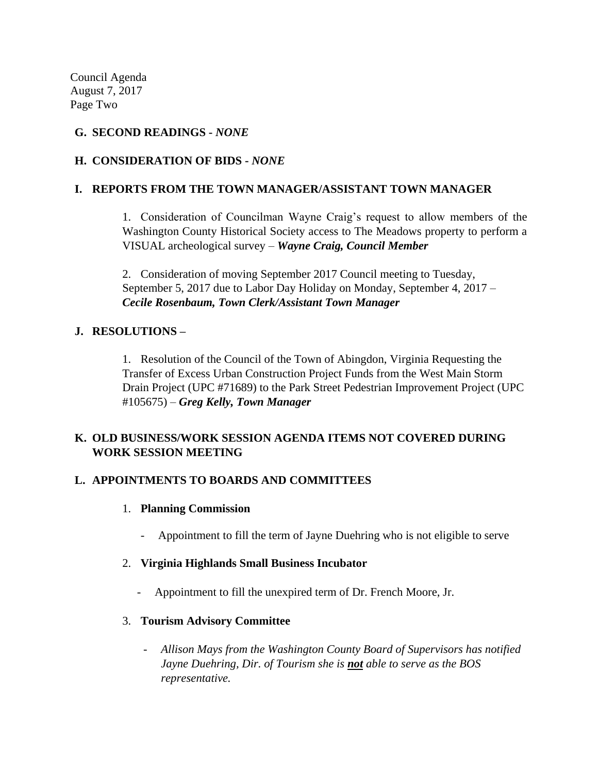Council Agenda August 7, 2017 Page Two

# **G. SECOND READINGS -** *NONE*

# **H. CONSIDERATION OF BIDS -** *NONE*

## **I. REPORTS FROM THE TOWN MANAGER/ASSISTANT TOWN MANAGER**

1. Consideration of Councilman Wayne Craig's request to allow members of the Washington County Historical Society access to The Meadows property to perform a VISUAL archeological survey – *Wayne Craig, Council Member*

2. Consideration of moving September 2017 Council meeting to Tuesday, September 5, 2017 due to Labor Day Holiday on Monday, September 4, 2017 – *Cecile Rosenbaum, Town Clerk/Assistant Town Manager* 

## **J. RESOLUTIONS –**

1. Resolution of the Council of the Town of Abingdon, Virginia Requesting the Transfer of Excess Urban Construction Project Funds from the West Main Storm Drain Project (UPC #71689) to the Park Street Pedestrian Improvement Project (UPC #105675) – *Greg Kelly, Town Manager*

## **K. OLD BUSINESS/WORK SESSION AGENDA ITEMS NOT COVERED DURING WORK SESSION MEETING**

## **L. APPOINTMENTS TO BOARDS AND COMMITTEES**

- 1. **Planning Commission**
	- Appointment to fill the term of Jayne Duehring who is not eligible to serve
- 2. **Virginia Highlands Small Business Incubator**
	- Appointment to fill the unexpired term of Dr. French Moore, Jr.
- 3. **Tourism Advisory Committee**
	- *Allison Mays from the Washington County Board of Supervisors has notified Jayne Duehring, Dir. of Tourism she is not able to serve as the BOS representative.*